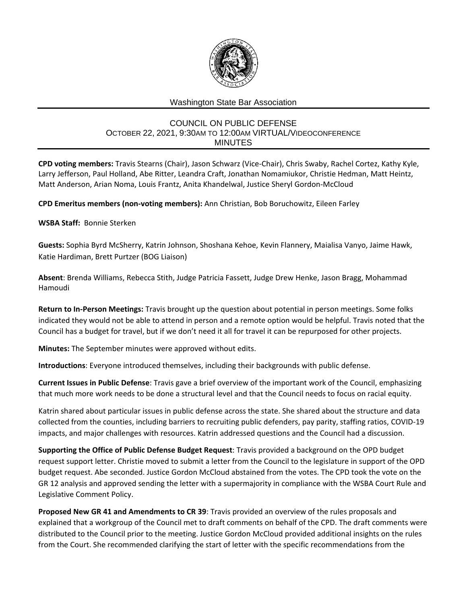

## Washington State Bar Association

## COUNCIL ON PUBLIC DEFENSE OCTOBER 22, 2021, 9:30AM TO 12:00AM VIRTUAL/VIDEOCONFERENCE MINUTES

**CPD voting members:** Travis Stearns (Chair), Jason Schwarz (Vice-Chair), Chris Swaby, Rachel Cortez, Kathy Kyle, Larry Jefferson, Paul Holland, Abe Ritter, Leandra Craft, Jonathan Nomamiukor, Christie Hedman, Matt Heintz, Matt Anderson, Arian Noma, Louis Frantz, Anita Khandelwal, Justice Sheryl Gordon-McCloud

**CPD Emeritus members (non-voting members):** Ann Christian, Bob Boruchowitz, Eileen Farley

## **WSBA Staff:** Bonnie Sterken

**Guests:** Sophia Byrd McSherry, Katrin Johnson, Shoshana Kehoe, Kevin Flannery, Maialisa Vanyo, Jaime Hawk, Katie Hardiman, Brett Purtzer (BOG Liaison)

**Absent**: Brenda Williams, Rebecca Stith, Judge Patricia Fassett, Judge Drew Henke, Jason Bragg, Mohammad Hamoudi

**Return to In-Person Meetings:** Travis brought up the question about potential in person meetings. Some folks indicated they would not be able to attend in person and a remote option would be helpful. Travis noted that the Council has a budget for travel, but if we don't need it all for travel it can be repurposed for other projects.

**Minutes:** The September minutes were approved without edits.

**Introductions**: Everyone introduced themselves, including their backgrounds with public defense.

**Current Issues in Public Defense**: Travis gave a brief overview of the important work of the Council, emphasizing that much more work needs to be done a structural level and that the Council needs to focus on racial equity.

Katrin shared about particular issues in public defense across the state. She shared about the structure and data collected from the counties, including barriers to recruiting public defenders, pay parity, staffing ratios, COVID-19 impacts, and major challenges with resources. Katrin addressed questions and the Council had a discussion.

**Supporting the Office of Public Defense Budget Request**: Travis provided a background on the OPD budget request support letter. Christie moved to submit a letter from the Council to the legislature in support of the OPD budget request. Abe seconded. Justice Gordon McCloud abstained from the votes. The CPD took the vote on the GR 12 analysis and approved sending the letter with a supermajority in compliance with the WSBA Court Rule and Legislative Comment Policy.

**Proposed New GR 41 and Amendments to CR 39**: Travis provided an overview of the rules proposals and explained that a workgroup of the Council met to draft comments on behalf of the CPD. The draft comments were distributed to the Council prior to the meeting. Justice Gordon McCloud provided additional insights on the rules from the Court. She recommended clarifying the start of letter with the specific recommendations from the